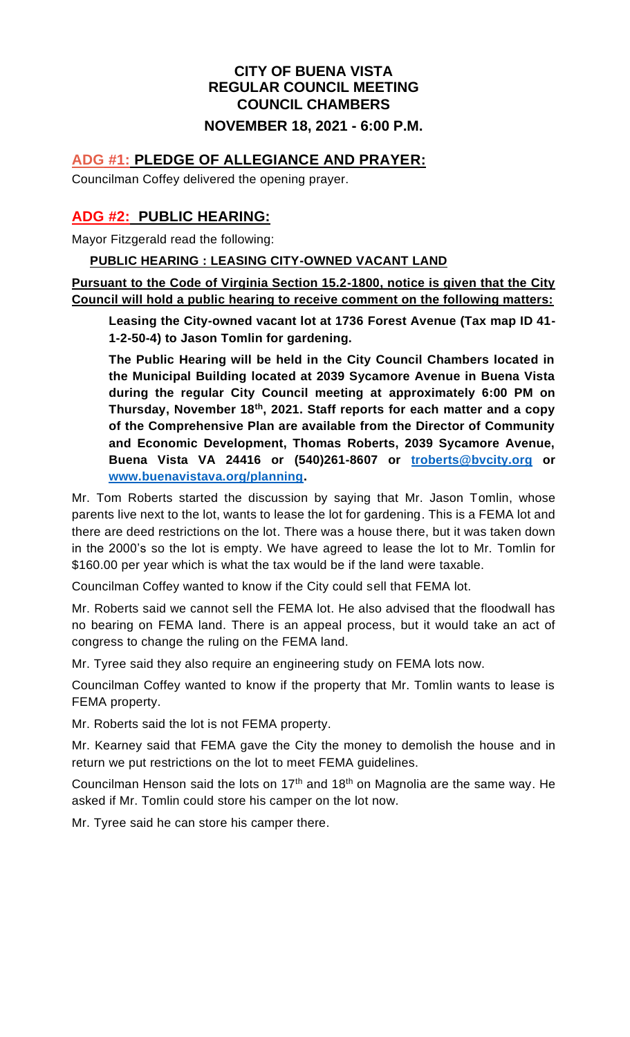### **CITY OF BUENA VISTA REGULAR COUNCIL MEETING COUNCIL CHAMBERS**

#### **NOVEMBER 18, 2021 - 6:00 P.M.**

#### **ADG #1: PLEDGE OF ALLEGIANCE AND PRAYER:**

Councilman Coffey delivered the opening prayer.

### **ADG #2: PUBLIC HEARING:**

Mayor Fitzgerald read the following:

#### **PUBLIC HEARING : LEASING CITY-OWNED VACANT LAND**

**Pursuant to the Code of Virginia Section 15.2-1800, notice is given that the City Council will hold a public hearing to receive comment on the following matters:**

**Leasing the City-owned vacant lot at 1736 Forest Avenue (Tax map ID 41- 1-2-50-4) to Jason Tomlin for gardening.**

**The Public Hearing will be held in the City Council Chambers located in the Municipal Building located at 2039 Sycamore Avenue in Buena Vista during the regular City Council meeting at approximately 6:00 PM on Thursday, November 18th, 2021. Staff reports for each matter and a copy of the Comprehensive Plan are available from the Director of Community and Economic Development, Thomas Roberts, 2039 Sycamore Avenue, Buena Vista VA 24416 or (540)261-8607 or [troberts@bvcity.org](mailto:troberts@bvcity.org) or [www.buenavistava.org/planning.](http://www.buenavistava.org/planning)**

Mr. Tom Roberts started the discussion by saying that Mr. Jason Tomlin, whose parents live next to the lot, wants to lease the lot for gardening. This is a FEMA lot and there are deed restrictions on the lot. There was a house there, but it was taken down in the 2000's so the lot is empty. We have agreed to lease the lot to Mr. Tomlin for \$160.00 per year which is what the tax would be if the land were taxable.

Councilman Coffey wanted to know if the City could sell that FEMA lot.

Mr. Roberts said we cannot sell the FEMA lot. He also advised that the floodwall has no bearing on FEMA land. There is an appeal process, but it would take an act of congress to change the ruling on the FEMA land.

Mr. Tyree said they also require an engineering study on FEMA lots now.

Councilman Coffey wanted to know if the property that Mr. Tomlin wants to lease is FEMA property.

Mr. Roberts said the lot is not FEMA property.

Mr. Kearney said that FEMA gave the City the money to demolish the house and in return we put restrictions on the lot to meet FEMA guidelines.

Councilman Henson said the lots on  $17<sup>th</sup>$  and  $18<sup>th</sup>$  on Magnolia are the same way. He asked if Mr. Tomlin could store his camper on the lot now.

Mr. Tyree said he can store his camper there.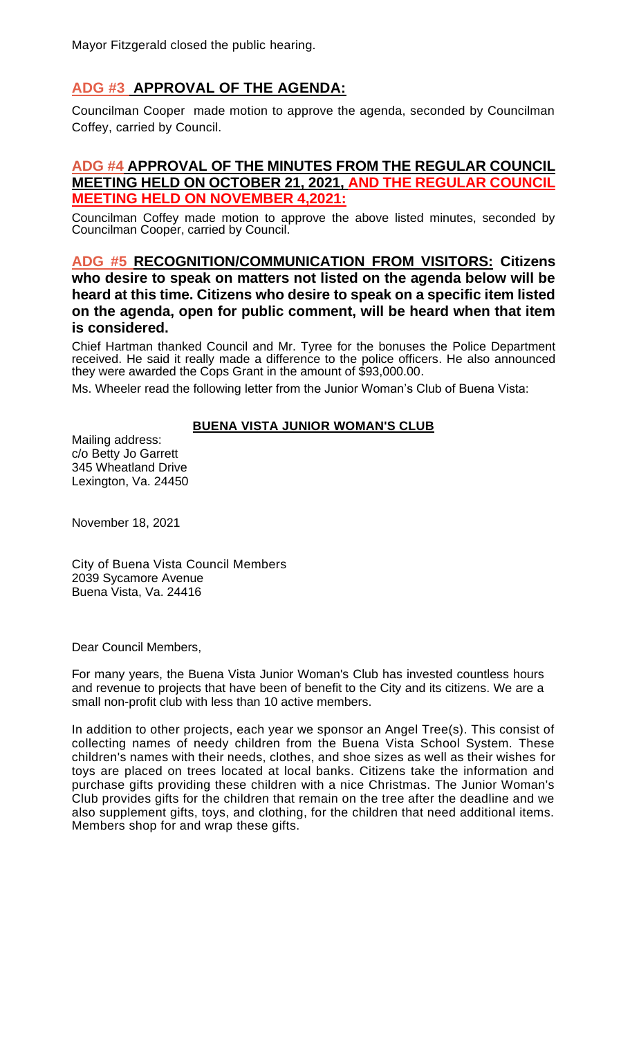# **ADG #3 APPROVAL OF THE AGENDA:**

Councilman Cooper made motion to approve the agenda, seconded by Councilman Coffey, carried by Council.

### **ADG #4 APPROVAL OF THE MINUTES FROM THE REGULAR COUNCIL MEETING HELD ON OCTOBER 21, 2021, AND THE REGULAR COUNCIL MEETING HELD ON NOVEMBER 4,2021:**

Councilman Coffey made motion to approve the above listed minutes, seconded by Councilman Cooper, carried by Council.

**ADG #5 RECOGNITION/COMMUNICATION FROM VISITORS: Citizens who desire to speak on matters not listed on the agenda below will be heard at this time. Citizens who desire to speak on a specific item listed on the agenda, open for public comment, will be heard when that item is considered.**

Chief Hartman thanked Council and Mr. Tyree for the bonuses the Police Department received. He said it really made a difference to the police officers. He also announced they were awarded the Cops Grant in the amount of \$93,000.00.

Ms. Wheeler read the following letter from the Junior Woman's Club of Buena Vista:

#### **BUENA VISTA JUNIOR WOMAN'S CLUB**

Mailing address: c/o Betty Jo Garrett 345 Wheatland Drive Lexington, Va. 24450

November 18, 2021

City of Buena Vista Council Members 2039 Sycamore Avenue Buena Vista, Va. 24416

Dear Council Members,

For many years, the Buena Vista Junior Woman's Club has invested countless hours and revenue to projects that have been of benefit to the City and its citizens. We are a small non-profit club with less than 10 active members.

In addition to other projects, each year we sponsor an Angel Tree(s). This consist of collecting names of needy children from the Buena Vista School System. These children's names with their needs, clothes, and shoe sizes as well as their wishes for toys are placed on trees located at local banks. Citizens take the information and purchase gifts providing these children with a nice Christmas. The Junior Woman's Club provides gifts for the children that remain on the tree after the deadline and we also supplement gifts, toys, and clothing, for the children that need additional items. Members shop for and wrap these gifts.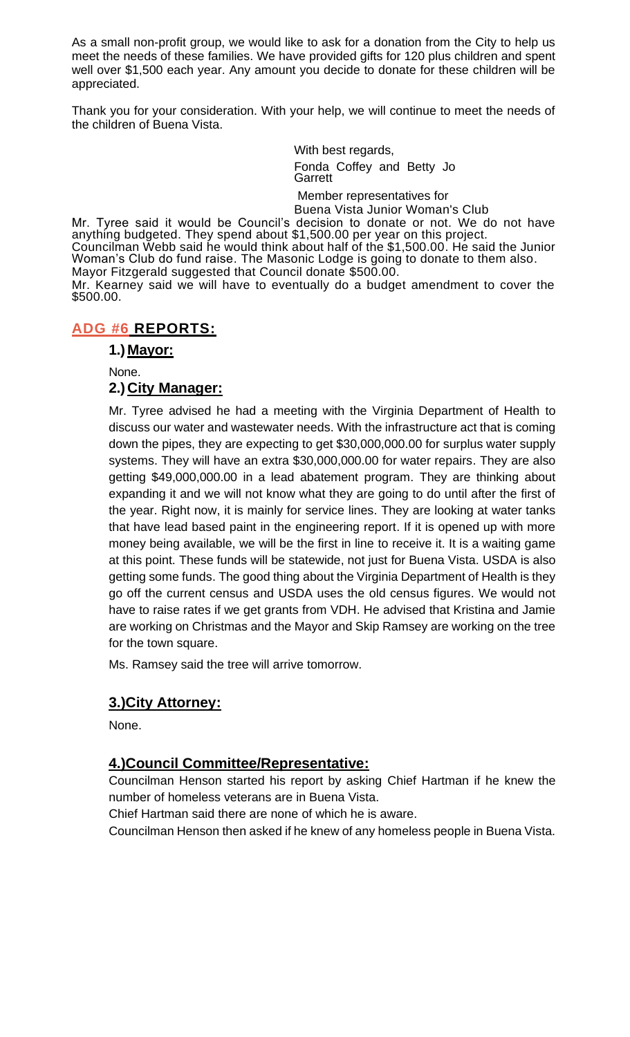As a small non-profit group, we would like to ask for a donation from the City to help us meet the needs of these families. We have provided gifts for 120 plus children and spent well over \$1,500 each year. Any amount you decide to donate for these children will be appreciated.

Thank you for your consideration. With your help, we will continue to meet the needs of the children of Buena Vista.

> With best regards, Fonda Coffey and Betty Jo Garrett

Member representatives for Buena Vista Junior Woman's Club

Mr. Tyree said it would be Council's decision to donate or not. We do not have anything budgeted. They spend about \$1,500.00 per year on this project. Councilman Webb said he would think about half of the \$1,500.00. He said the Junior Woman's Club do fund raise. The Masonic Lodge is going to donate to them also. Mayor Fitzgerald suggested that Council donate \$500.00.

Mr. Kearney said we will have to eventually do a budget amendment to cover the \$500.00.

### **ADG #6 REPORTS:**

#### **1.) Mayor:**

None.

#### **2.) City Manager:**

Mr. Tyree advised he had a meeting with the Virginia Department of Health to discuss our water and wastewater needs. With the infrastructure act that is coming down the pipes, they are expecting to get \$30,000,000.00 for surplus water supply systems. They will have an extra \$30,000,000.00 for water repairs. They are also getting \$49,000,000.00 in a lead abatement program. They are thinking about expanding it and we will not know what they are going to do until after the first of the year. Right now, it is mainly for service lines. They are looking at water tanks that have lead based paint in the engineering report. If it is opened up with more money being available, we will be the first in line to receive it. It is a waiting game at this point. These funds will be statewide, not just for Buena Vista. USDA is also getting some funds. The good thing about the Virginia Department of Health is they go off the current census and USDA uses the old census figures. We would not have to raise rates if we get grants from VDH. He advised that Kristina and Jamie are working on Christmas and the Mayor and Skip Ramsey are working on the tree for the town square.

Ms. Ramsey said the tree will arrive tomorrow.

#### **3.)City Attorney:**

None.

#### **4.)Council Committee/Representative:**

Councilman Henson started his report by asking Chief Hartman if he knew the number of homeless veterans are in Buena Vista.

Chief Hartman said there are none of which he is aware.

Councilman Henson then asked if he knew of any homeless people in Buena Vista.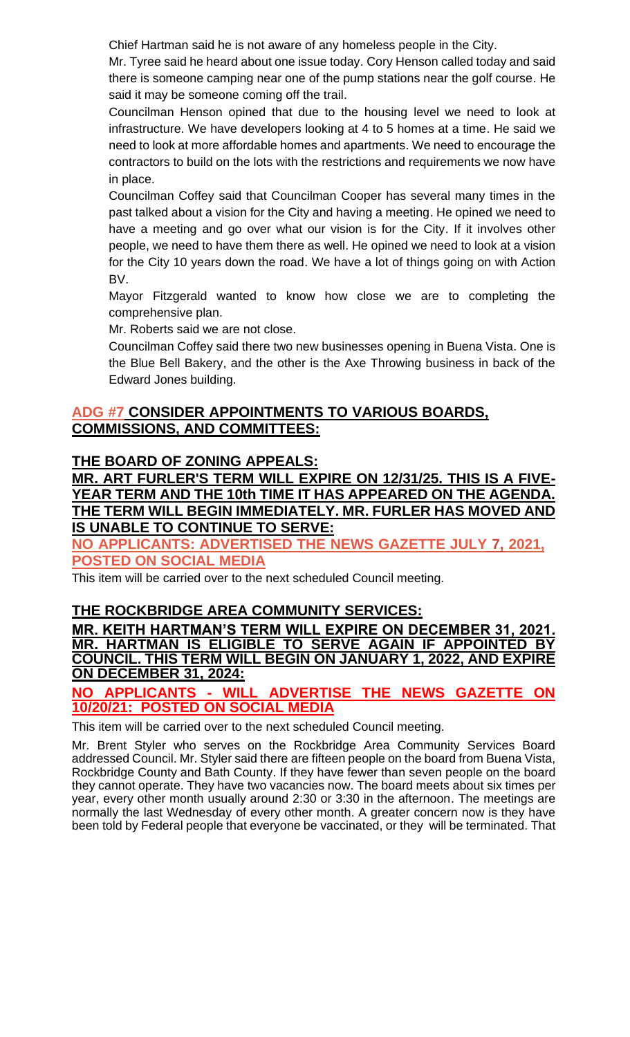Chief Hartman said he is not aware of any homeless people in the City.

Mr. Tyree said he heard about one issue today. Cory Henson called today and said there is someone camping near one of the pump stations near the golf course. He said it may be someone coming off the trail.

Councilman Henson opined that due to the housing level we need to look at infrastructure. We have developers looking at 4 to 5 homes at a time. He said we need to look at more affordable homes and apartments. We need to encourage the contractors to build on the lots with the restrictions and requirements we now have in place.

Councilman Coffey said that Councilman Cooper has several many times in the past talked about a vision for the City and having a meeting. He opined we need to have a meeting and go over what our vision is for the City. If it involves other people, we need to have them there as well. He opined we need to look at a vision for the City 10 years down the road. We have a lot of things going on with Action BV.

Mayor Fitzgerald wanted to know how close we are to completing the comprehensive plan.

Mr. Roberts said we are not close.

Councilman Coffey said there two new businesses opening in Buena Vista. One is the Blue Bell Bakery, and the other is the Axe Throwing business in back of the Edward Jones building.

### **ADG #7 CONSIDER APPOINTMENTS TO VARIOUS BOARDS, COMMISSIONS, AND COMMITTEES:**

### **THE BOARD OF ZONING APPEALS:**

**MR. ART FURLER'S TERM WILL EXPIRE ON 12/31/25. THIS IS A FIVE-YEAR TERM AND THE 10th TIME IT HAS APPEARED ON THE AGENDA. THE TERM WILL BEGIN [IMMEDIATELY. MR.](http://immediately.mr/) FURLER HAS MOVED AND IS UNABLE TO CONTINUE TO SERVE:**

**NO APPLICANTS: ADVERTISED THE NEWS GAZETTE JULY 7, 2021, POSTED ON SOCIAL MEDIA**

This item will be carried over to the next scheduled Council meeting.

### **THE ROCKBRIDGE AREA COMMUNITY SERVICES:**

**MR. KEITH HARTMAN'S TERM WILL EXPIRE ON DECEMBER 31, 2021. MR. HARTMAN IS ELIGIBLE TO SERVE AGAIN IF APPOINTED BY COUNCIL. THIS TERM WILL BEGIN ON JANUARY 1, 2022, AND EXPIRE ON DECEMBER 31, 2024:**

#### **NO APPLICANTS - WILL ADVERTISE THE NEWS GAZETTE ON 10/20/21: POSTED ON SOCIAL MEDIA**

This item will be carried over to the next scheduled Council meeting.

Mr. Brent Styler who serves on the Rockbridge Area Community Services Board addressed Council. Mr. Styler said there are fifteen people on the board from Buena Vista, Rockbridge County and Bath County. If they have fewer than seven people on the board they cannot operate. They have two vacancies now. The board meets about six times per year, every other month usually around 2:30 or 3:30 in the afternoon. The meetings are normally the last Wednesday of every other month. A greater concern now is they have been told by Federal people that everyone be vaccinated, or they will be terminated. That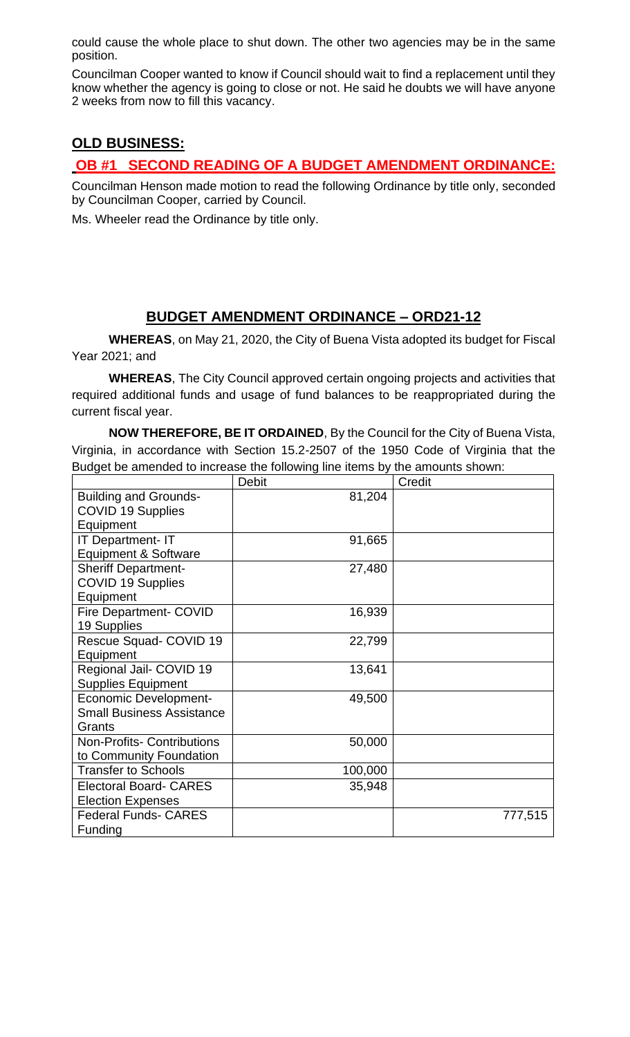could cause the whole place to shut down. The other two agencies may be in the same position.

Councilman Cooper wanted to know if Council should wait to find a replacement until they know whether the agency is going to close or not. He said he doubts we will have anyone 2 weeks from now to fill this vacancy.

# **OLD BUSINESS:**

## **OB #1 SECOND READING OF A BUDGET AMENDMENT ORDINANCE:**

Councilman Henson made motion to read the following Ordinance by title only, seconded by Councilman Cooper, carried by Council.

Ms. Wheeler read the Ordinance by title only.

## **BUDGET AMENDMENT ORDINANCE – ORD21-12**

**WHEREAS**, on May 21, 2020, the City of Buena Vista adopted its budget for Fiscal Year 2021; and

**WHEREAS**, The City Council approved certain ongoing projects and activities that required additional funds and usage of fund balances to be reappropriated during the current fiscal year.

**NOW THEREFORE, BE IT ORDAINED**, By the Council for the City of Buena Vista, Virginia, in accordance with Section 15.2-2507 of the 1950 Code of Virginia that the Budget be amended to increase the following line items by the amounts shown:

|                                   | <b>Debit</b> | Credit  |
|-----------------------------------|--------------|---------|
| <b>Building and Grounds-</b>      | 81,204       |         |
| <b>COVID 19 Supplies</b>          |              |         |
| Equipment                         |              |         |
| <b>IT Department- IT</b>          | 91,665       |         |
| <b>Equipment &amp; Software</b>   |              |         |
| <b>Sheriff Department-</b>        | 27,480       |         |
| <b>COVID 19 Supplies</b>          |              |         |
| Equipment                         |              |         |
| <b>Fire Department- COVID</b>     | 16,939       |         |
| 19 Supplies                       |              |         |
| Rescue Squad- COVID 19            | 22,799       |         |
| Equipment                         |              |         |
| Regional Jail- COVID 19           | 13,641       |         |
| <b>Supplies Equipment</b>         |              |         |
| <b>Economic Development-</b>      | 49,500       |         |
| <b>Small Business Assistance</b>  |              |         |
| Grants                            |              |         |
| <b>Non-Profits- Contributions</b> | 50,000       |         |
| to Community Foundation           |              |         |
| <b>Transfer to Schools</b>        | 100,000      |         |
| <b>Electoral Board- CARES</b>     | 35,948       |         |
| <b>Election Expenses</b>          |              |         |
| <b>Federal Funds- CARES</b>       |              | 777,515 |
| Funding                           |              |         |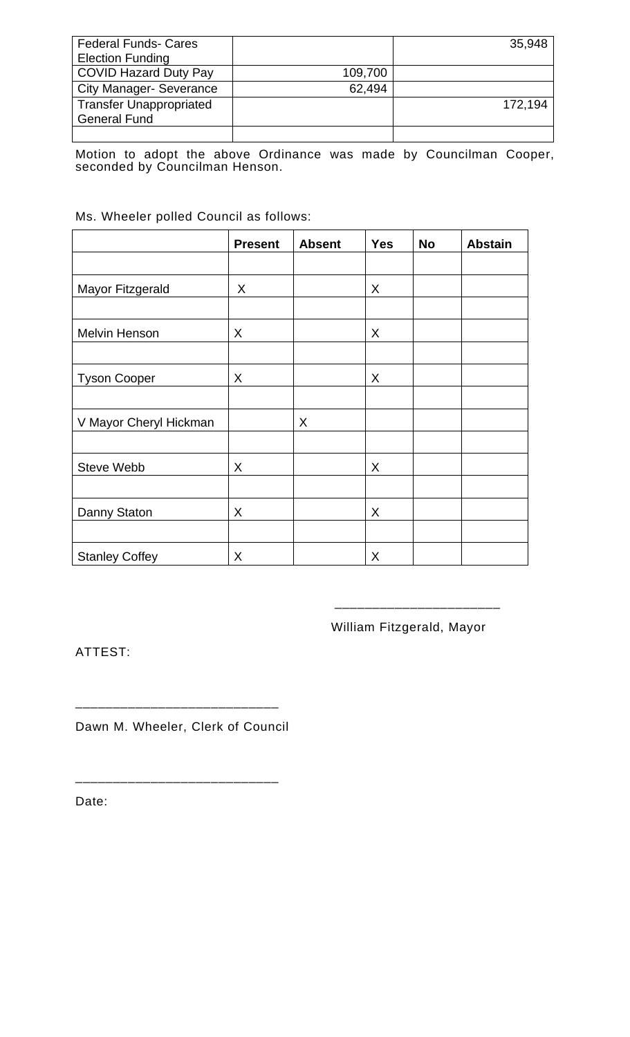| <b>Federal Funds- Cares</b>    |         | 35,948  |
|--------------------------------|---------|---------|
| <b>Election Funding</b>        |         |         |
| <b>COVID Hazard Duty Pay</b>   | 109,700 |         |
| <b>City Manager- Severance</b> | 62,494  |         |
| <b>Transfer Unappropriated</b> |         | 172,194 |
| <b>General Fund</b>            |         |         |
|                                |         |         |

Motion to adopt the above Ordinance was made by Councilman Cooper, seconded by Councilman Henson.

#### Ms. Wheeler polled Council as follows:

|                        | <b>Present</b> | <b>Absent</b> | <b>Yes</b> | <b>No</b> | <b>Abstain</b> |
|------------------------|----------------|---------------|------------|-----------|----------------|
|                        |                |               |            |           |                |
| Mayor Fitzgerald       | X              |               | X          |           |                |
|                        |                |               |            |           |                |
| Melvin Henson          | X              |               | X          |           |                |
|                        |                |               |            |           |                |
| <b>Tyson Cooper</b>    | X              |               | X          |           |                |
|                        |                |               |            |           |                |
| V Mayor Cheryl Hickman |                | X             |            |           |                |
|                        |                |               |            |           |                |
| <b>Steve Webb</b>      | X              |               | X          |           |                |
|                        |                |               |            |           |                |
| Danny Staton           | X              |               | X          |           |                |
|                        |                |               |            |           |                |
| <b>Stanley Coffey</b>  | X              |               | X          |           |                |

William Fitzgerald, Mayor

\_\_\_\_\_\_\_\_\_\_\_\_\_\_\_\_\_\_\_\_\_\_

ATTEST:

Dawn M. Wheeler, Clerk of Council

\_\_\_\_\_\_\_\_\_\_\_\_\_\_\_\_\_\_\_\_\_\_\_\_\_\_\_

\_\_\_\_\_\_\_\_\_\_\_\_\_\_\_\_\_\_\_\_\_\_\_\_\_\_\_

Date: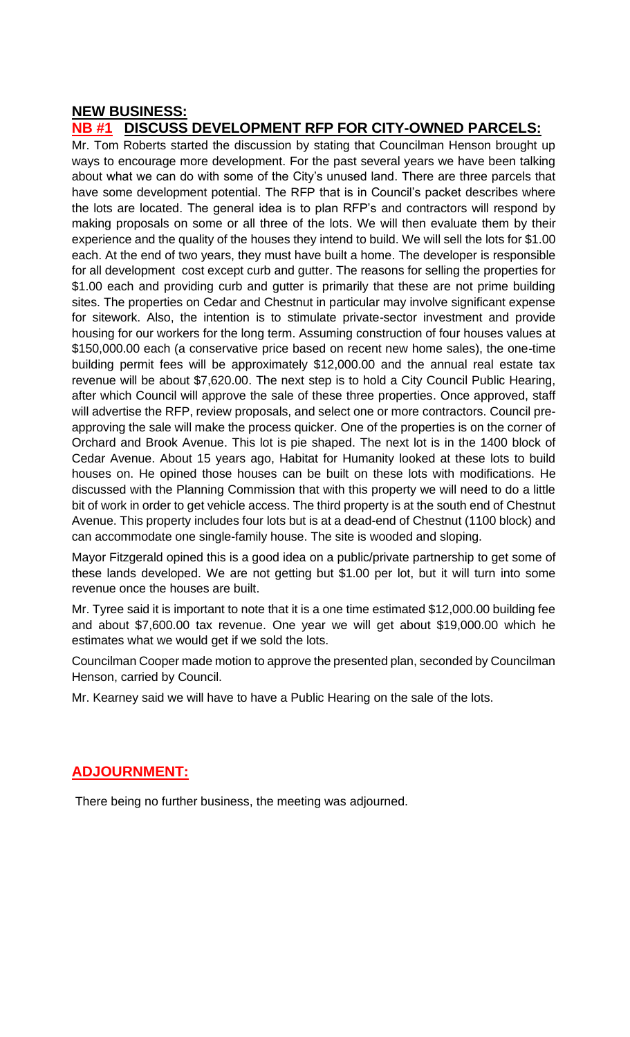### **NEW BUSINESS:**

### **NB #1 DISCUSS DEVELOPMENT RFP FOR CITY-OWNED PARCELS:**

Mr. Tom Roberts started the discussion by stating that Councilman Henson brought up ways to encourage more development. For the past several years we have been talking about what we can do with some of the City's unused land. There are three parcels that have some development potential. The RFP that is in Council's packet describes where the lots are located. The general idea is to plan RFP's and contractors will respond by making proposals on some or all three of the lots. We will then evaluate them by their experience and the quality of the houses they intend to build. We will sell the lots for \$1.00 each. At the end of two years, they must have built a home. The developer is responsible for all development cost except curb and gutter. The reasons for selling the properties for \$1.00 each and providing curb and gutter is primarily that these are not prime building sites. The properties on Cedar and Chestnut in particular may involve significant expense for sitework. Also, the intention is to stimulate private-sector investment and provide housing for our workers for the long term. Assuming construction of four houses values at \$150,000.00 each (a conservative price based on recent new home sales), the one-time building permit fees will be approximately \$12,000.00 and the annual real estate tax revenue will be about \$7,620.00. The next step is to hold a City Council Public Hearing, after which Council will approve the sale of these three properties. Once approved, staff will advertise the RFP, review proposals, and select one or more contractors. Council preapproving the sale will make the process quicker. One of the properties is on the corner of Orchard and Brook Avenue. This lot is pie shaped. The next lot is in the 1400 block of Cedar Avenue. About 15 years ago, Habitat for Humanity looked at these lots to build houses on. He opined those houses can be built on these lots with modifications. He discussed with the Planning Commission that with this property we will need to do a little bit of work in order to get vehicle access. The third property is at the south end of Chestnut Avenue. This property includes four lots but is at a dead-end of Chestnut (1100 block) and can accommodate one single-family house. The site is wooded and sloping.

Mayor Fitzgerald opined this is a good idea on a public/private partnership to get some of these lands developed. We are not getting but \$1.00 per lot, but it will turn into some revenue once the houses are built.

Mr. Tyree said it is important to note that it is a one time estimated \$12,000.00 building fee and about \$7,600.00 tax revenue. One year we will get about \$19,000.00 which he estimates what we would get if we sold the lots.

Councilman Cooper made motion to approve the presented plan, seconded by Councilman Henson, carried by Council.

Mr. Kearney said we will have to have a Public Hearing on the sale of the lots.

### **ADJOURNMENT:**

There being no further business, the meeting was adjourned.